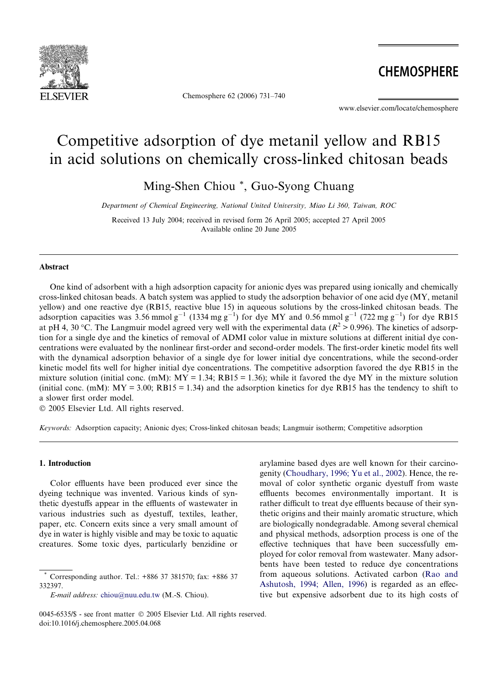

Chemosphere 62 (2006) 731–740

**CHEMOSPHERE** 

www.elsevier.com/locate/chemosphere

# Competitive adsorption of dye metanil yellow and RB15 in acid solutions on chemically cross-linked chitosan beads

Ming-Shen Chiou \*, Guo-Syong Chuang

Department of Chemical Engineering, National United University, Miao Li 360, Taiwan, ROC

Received 13 July 2004; received in revised form 26 April 2005; accepted 27 April 2005 Available online 20 June 2005

# Abstract

One kind of adsorbent with a high adsorption capacity for anionic dyes was prepared using ionically and chemically cross-linked chitosan beads. A batch system was applied to study the adsorption behavior of one acid dye (MY, metanil yellow) and one reactive dye (RB15, reactive blue 15) in aqueous solutions by the cross-linked chitosan beads. The adsorption capacities was 3.56 mmol g<sup>-1</sup> (1334 mg g<sup>-1</sup>) for dye MY and 0.56 mmol g<sup>-1</sup> (722 mg g<sup>-1</sup>) for dye RB15 at pH 4, 30 °C. The Langmuir model agreed very well with the experimental data ( $R^2 > 0.996$ ). The kinetics of adsorption for a single dye and the kinetics of removal of ADMI color value in mixture solutions at different initial dye concentrations were evaluated by the nonlinear first-order and second-order models. The first-order kinetic model fits well with the dynamical adsorption behavior of a single dye for lower initial dye concentrations, while the second-order kinetic model fits well for higher initial dye concentrations. The competitive adsorption favored the dye RB15 in the mixture solution (initial conc. (mM):  $MY = 1.34$ ; RB15 = 1.36); while it favored the dye MY in the mixture solution (initial conc. (mM):  $MY = 3.00$ ; RB15 = 1.34) and the adsorption kinetics for dye RB15 has the tendency to shift to a slower first order model.

 $© 2005 Elsevier Ltd. All rights reserved.$ 

Keywords: Adsorption capacity; Anionic dyes; Cross-linked chitosan beads; Langmuir isotherm; Competitive adsorption

#### 1. Introduction

Color effluents have been produced ever since the dyeing technique was invented. Various kinds of synthetic dyestuffs appear in the effluents of wastewater in various industries such as dyestuff, textiles, leather, paper, etc. Concern exits since a very small amount of dye in water is highly visible and may be toxic to aquatic creatures. Some toxic dyes, particularly benzidine or

arylamine based dyes are well known for their carcinogenity [\(Choudhary, 1996; Yu et al., 2002](#page-8-0)). Hence, the removal of color synthetic organic dyestuff from waste effluents becomes environmentally important. It is rather difficult to treat dye effluents because of their synthetic origins and their mainly aromatic structure, which are biologically nondegradable. Among several chemical and physical methods, adsorption process is one of the effective techniques that have been successfully employed for color removal from wastewater. Many adsorbents have been tested to reduce dye concentrations from aqueous solutions. Activated carbon [\(Rao and](#page-9-0) [Ashutosh, 1994; Allen, 1996](#page-9-0)) is regarded as an effective but expensive adsorbent due to its high costs of

<sup>\*</sup> Corresponding author. Tel.: +886 37 381570; fax: +886 37 332397.

E-mail address: [chiou@nuu.edu.tw](mailto:chiou@nuu.edu.tw) (M.-S. Chiou).

<sup>0045-6535/\$ -</sup> see front matter © 2005 Elsevier Ltd. All rights reserved. doi:10.1016/j.chemosphere.2005.04.068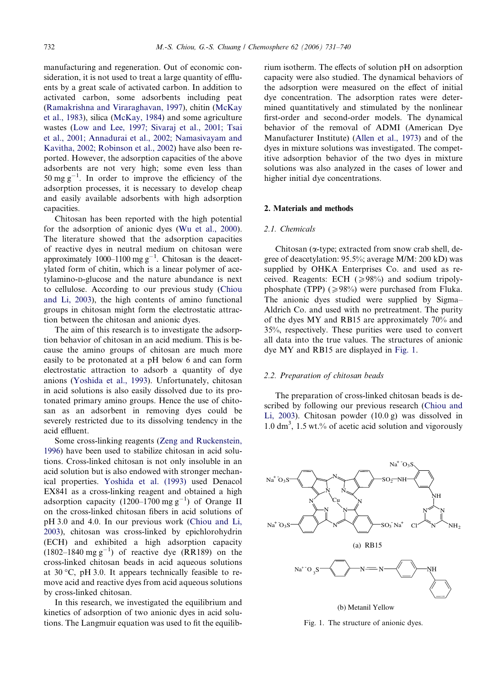<span id="page-1-0"></span>manufacturing and regeneration. Out of economic consideration, it is not used to treat a large quantity of effluents by a great scale of activated carbon. In addition to activated carbon, some adsorbents including peat [\(Ramakrishna and Viraraghavan, 1997\)](#page-9-0), chitin ([McKay](#page-8-0) [et al., 1983\)](#page-8-0), silica [\(McKay, 1984](#page-8-0)) and some agriculture wastes [\(Low and Lee, 1997; Sivaraj et al., 2001; Tsai](#page-8-0) [et al., 2001; Annadurai et al., 2002; Namasivayam and](#page-8-0) [Kavitha, 2002; Robinson et al., 2002](#page-8-0)) have also been reported. However, the adsorption capacities of the above adsorbents are not very high; some even less than  $50 \text{ mg g}^{-1}$ . In order to improve the efficiency of the adsorption processes, it is necessary to develop cheap and easily available adsorbents with high adsorption capacities.

Chitosan has been reported with the high potential for the adsorption of anionic dyes ([Wu et al., 2000](#page-9-0)). The literature showed that the adsorption capacities of reactive dyes in neutral medium on chitosan were approximately 1000–1100 mg  $g^{-1}$ . Chitosan is the deacetylated form of chitin, which is a linear polymer of acetylamino-D-glucose and the nature abundance is next to cellulose. According to our previous study ([Chiou](#page-8-0) [and Li, 2003](#page-8-0)), the high contents of amino functional groups in chitosan might form the electrostatic attraction between the chitosan and anionic dyes.

The aim of this research is to investigate the adsorption behavior of chitosan in an acid medium. This is because the amino groups of chitosan are much more easily to be protonated at a pH below 6 and can form electrostatic attraction to adsorb a quantity of dye anions ([Yoshida et al., 1993\)](#page-9-0). Unfortunately, chitosan in acid solutions is also easily dissolved due to its protonated primary amino groups. Hence the use of chitosan as an adsorbent in removing dyes could be severely restricted due to its dissolving tendency in the acid effluent.

Some cross-linking reagents [\(Zeng and Ruckenstein,](#page-9-0) [1996](#page-9-0)) have been used to stabilize chitosan in acid solutions. Cross-linked chitosan is not only insoluble in an acid solution but is also endowed with stronger mechanical properties. [Yoshida et al. \(1993\)](#page-9-0) used Denacol EX841 as a cross-linking reagent and obtained a high adsorption capacity  $(1200-1700 \text{ mg g}^{-1})$  of Orange II on the cross-linked chitosan fibers in acid solutions of pH 3.0 and 4.0. In our previous work ([Chiou and Li,](#page-8-0) [2003](#page-8-0)), chitosan was cross-linked by epichlorohydrin (ECH) and exhibited a high adsorption capacity  $(1802-1840 \text{ mg g}^{-1})$  of reactive dye (RR189) on the cross-linked chitosan beads in acid aqueous solutions at 30 °C, pH 3.0. It appears technically feasible to remove acid and reactive dyes from acid aqueous solutions by cross-linked chitosan.

In this research, we investigated the equilibrium and kinetics of adsorption of two anionic dyes in acid solutions. The Langmuir equation was used to fit the equilibrium isotherm. The effects of solution pH on adsorption capacity were also studied. The dynamical behaviors of the adsorption were measured on the effect of initial dye concentration. The adsorption rates were determined quantitatively and stimulated by the nonlinear first-order and second-order models. The dynamical behavior of the removal of ADMI (American Dye Manufacturer Institute) [\(Allen et al., 1973\)](#page-8-0) and of the dyes in mixture solutions was investigated. The competitive adsorption behavior of the two dyes in mixture solutions was also analyzed in the cases of lower and higher initial dye concentrations.

# 2. Materials and methods

# 2.1. Chemicals

Chitosan (*a*-type; extracted from snow crab shell, degree of deacetylation: 95.5%; average M/M: 200 kD) was supplied by OHKA Enterprises Co. and used as received. Reagents: ECH  $(\geq 98\%)$  and sodium tripolyphosphate (TPP) ( $\geq 98\%$ ) were purchased from Fluka. The anionic dyes studied were supplied by Sigma– Aldrich Co. and used with no pretreatment. The purity of the dyes MY and RB15 are approximately 70% and 35%, respectively. These purities were used to convert all data into the true values. The structures of anionic dye MY and RB15 are displayed in Fig. 1.

# 2.2. Preparation of chitosan beads

The preparation of cross-linked chitosan beads is described by following our previous research [\(Chiou and](#page-8-0) [Li, 2003\)](#page-8-0). Chitosan powder (10.0 g) was dissolved in 1.0 dm<sup>3</sup>, 1.5 wt.% of acetic acid solution and vigorously



Fig. 1. The structure of anionic dyes.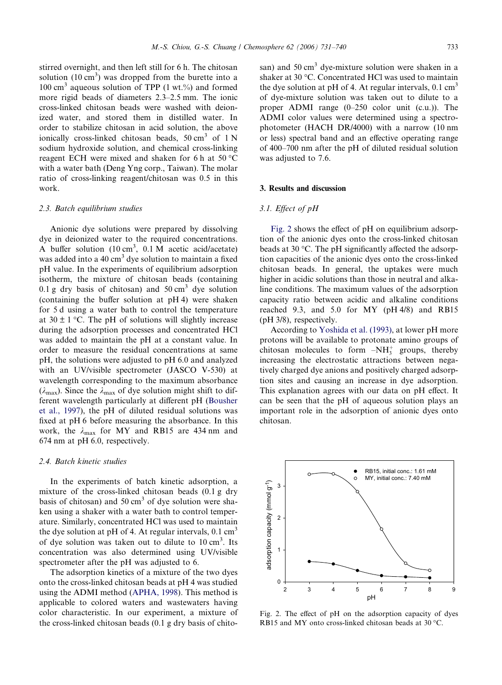stirred overnight, and then left still for 6 h. The chitosan solution  $(10 \text{ cm}^3)$  was dropped from the burette into a  $100 \text{ cm}^3$  aqueous solution of TPP (1 wt.%) and formed more rigid beads of diameters 2.3–2.5 mm. The ionic cross-linked chitosan beads were washed with deionized water, and stored them in distilled water. In order to stabilize chitosan in acid solution, the above ionically cross-linked chitosan beads,  $50 \text{ cm}^3$  of  $1 \text{ N}$ sodium hydroxide solution, and chemical cross-linking reagent ECH were mixed and shaken for 6 h at 50  $^{\circ}$ C with a water bath (Deng Yng corp., Taiwan). The molar ratio of cross-linking reagent/chitosan was 0.5 in this work.

# 2.3. Batch equilibrium studies

Anionic dye solutions were prepared by dissolving dye in deionized water to the required concentrations. A buffer solution  $(10 \text{ cm}^3, 0.1 \text{ M}$  acetic acid/acetate) was added into a 40 cm<sup>3</sup> dye solution to maintain a fixed pH value. In the experiments of equilibrium adsorption isotherm, the mixture of chitosan beads (containing 0.1 g dry basis of chitosan) and  $50 \text{ cm}^3$  dye solution (containing the buffer solution at pH 4) were shaken for 5 d using a water bath to control the temperature at  $30 \pm 1$  °C. The pH of solutions will slightly increase during the adsorption processes and concentrated HCl was added to maintain the pH at a constant value. In order to measure the residual concentrations at same pH, the solutions were adjusted to pH 6.0 and analyzed with an UV/visible spectrometer (JASCO V-530) at wavelength corresponding to the maximum absorbance ( $\lambda_{\text{max}}$ ). Since the  $\lambda_{\text{max}}$  of dye solution might shift to different wavelength particularly at different pH [\(Bousher](#page-8-0) [et al., 1997](#page-8-0)), the pH of diluted residual solutions was fixed at pH 6 before measuring the absorbance. In this work, the  $\lambda_{\text{max}}$  for MY and RB15 are 434 nm and 674 nm at pH 6.0, respectively.

# 2.4. Batch kinetic studies

In the experiments of batch kinetic adsorption, a mixture of the cross-linked chitosan beads (0.1 g dry basis of chitosan) and  $50 \text{ cm}^3$  of dye solution were shaken using a shaker with a water bath to control temperature. Similarly, concentrated HCl was used to maintain the dye solution at pH of 4. At regular intervals,  $0.1 \text{ cm}^3$ of dye solution was taken out to dilute to 10 cm<sup>3</sup>. Its concentration was also determined using UV/visible spectrometer after the pH was adjusted to 6.

The adsorption kinetics of a mixture of the two dyes onto the cross-linked chitosan beads at pH 4 was studied using the ADMI method [\(APHA, 1998\)](#page-8-0). This method is applicable to colored waters and wastewaters having color characteristic. In our experiment, a mixture of the cross-linked chitosan beads (0.1 g dry basis of chitosan) and 50 cm<sup>3</sup> dye-mixture solution were shaken in a shaker at 30 °C. Concentrated HCl was used to maintain the dye solution at pH of 4. At regular intervals,  $0.1 \text{ cm}^3$ of dye-mixture solution was taken out to dilute to a proper ADMI range (0–250 color unit (c.u.)). The ADMI color values were determined using a spectrophotometer (HACH DR/4000) with a narrow (10 nm or less) spectral band and an effective operating range of 400–700 nm after the pH of diluted residual solution was adjusted to 7.6.

## 3. Results and discussion

# 3.1. Effect of pH

Fig. 2 shows the effect of pH on equilibrium adsorption of the anionic dyes onto the cross-linked chitosan beads at 30  $\degree$ C. The pH significantly affected the adsorption capacities of the anionic dyes onto the cross-linked chitosan beads. In general, the uptakes were much higher in acidic solutions than those in neutral and alkaline conditions. The maximum values of the adsorption capacity ratio between acidic and alkaline conditions reached 9.3, and 5.0 for MY (pH 4/8) and RB15 (pH 3/8), respectively.

According to [Yoshida et al. \(1993\),](#page-9-0) at lower pH more protons will be available to protonate amino groups of chitosan molecules to form  $-NH_3^+$  groups, thereby increasing the electrostatic attractions between negatively charged dye anions and positively charged adsorption sites and causing an increase in dye adsorption. This explanation agrees with our data on pH effect. It can be seen that the pH of aqueous solution plays an important role in the adsorption of anionic dyes onto chitosan.



Fig. 2. The effect of pH on the adsorption capacity of dyes RB15 and MY onto cross-linked chitosan beads at 30 °C.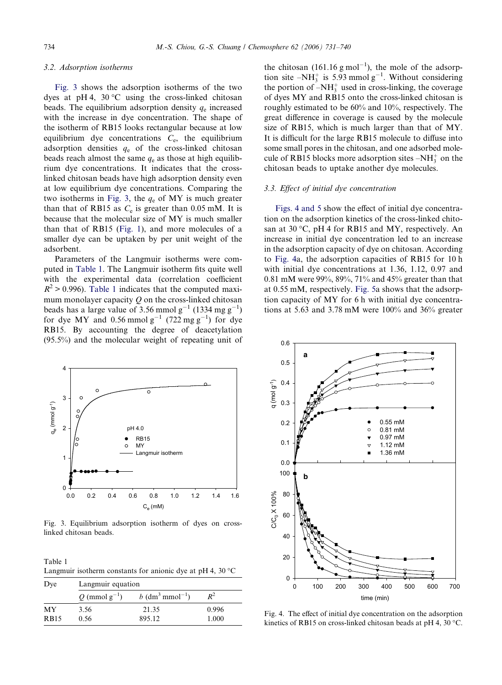# <span id="page-3-0"></span>3.2. Adsorption isotherms

Fig. 3 shows the adsorption isotherms of the two dyes at pH 4, 30  $\degree$ C using the cross-linked chitosan beads. The equilibrium adsorption density  $q_e$  increased with the increase in dye concentration. The shape of the isotherm of RB15 looks rectangular because at low equilibrium dye concentrations  $C_{e}$ , the equilibrium adsorption densities  $q_e$  of the cross-linked chitosan beads reach almost the same  $q_e$  as those at high equilibrium dye concentrations. It indicates that the crosslinked chitosan beads have high adsorption density even at low equilibrium dye concentrations. Comparing the two isotherms in Fig. 3, the  $q_e$  of MY is much greater than that of RB15 as  $C_e$  is greater than 0.05 mM. It is because that the molecular size of MY is much smaller than that of RB15 [\(Fig. 1](#page-1-0)), and more molecules of a smaller dye can be uptaken by per unit weight of the adsorbent.

Parameters of the Langmuir isotherms were computed in Table 1. The Langmuir isotherm fits quite well with the experimental data (correlation coefficient  $R^2$  > 0.996). Table 1 indicates that the computed maximum monolayer capacity  $Q$  on the cross-linked chitosan beads has a large value of 3.56 mmol  $g^{-1}$  (1334 mg  $g^{-1}$ ) for dye MY and 0.56 mmol  $g^{-1}$  (722 mg  $g^{-1}$ ) for dye RB15. By accounting the degree of deacetylation (95.5%) and the molecular weight of repeating unit of



Fig. 3. Equilibrium adsorption isotherm of dyes on crosslinked chitosan beads.

Table 1 Langmuir isotherm constants for anionic dye at pH 4, 30  $^{\circ}$ C

| Dye         | Langmuir equation  |                                                |       |
|-------------|--------------------|------------------------------------------------|-------|
|             | Q (mmol $g^{-1}$ ) | <i>b</i> (dm <sup>3</sup> mmol <sup>-1</sup> ) | $R^2$ |
| MY          | 3.56               | 21.35                                          | 0.996 |
| <b>RB15</b> | 0.56               | 895.12                                         | 1.000 |

the chitosan  $(161.16 \text{ g mol}^{-1})$ , the mole of the adsorption site  $-NH_3^+$  is 5.93 mmol  $g^{-1}$ . Without considering the portion of  $-NH_3^+$  used in cross-linking, the coverage of dyes MY and RB15 onto the cross-linked chitosan is roughly estimated to be 60% and 10%, respectively. The great difference in coverage is caused by the molecule size of RB15, which is much larger than that of MY. It is difficult for the large RB15 molecule to diffuse into some small pores in the chitosan, and one adsorbed molecule of RB15 blocks more adsorption sites  $-NH_3^+$  on the chitosan beads to uptake another dye molecules.

## 3.3. Effect of initial dye concentration

Figs. 4 and 5 show the effect of initial dye concentration on the adsorption kinetics of the cross-linked chitosan at 30 °C, pH 4 for RB15 and MY, respectively. An increase in initial dye concentration led to an increase in the adsorption capacity of dye on chitosan. According to Fig. 4a, the adsorption capacities of RB15 for 10 h with initial dye concentrations at 1.36, 1.12, 0.97 and 0.81 mM were 99%, 89%, 71% and 45% greater than that at 0.55 mM, respectively. [Fig. 5](#page-4-0)a shows that the adsorption capacity of MY for 6 h with initial dye concentrations at 5.63 and 3.78 mM were 100% and 36% greater



Fig. 4. The effect of initial dye concentration on the adsorption kinetics of RB15 on cross-linked chitosan beads at pH 4, 30 °C.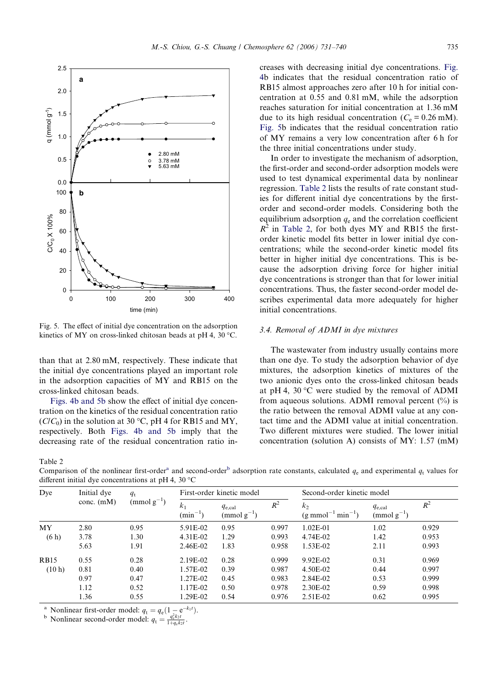<span id="page-4-0"></span>

Fig. 5. The effect of initial dye concentration on the adsorption kinetics of MY on cross-linked chitosan beads at pH 4, 30  $^{\circ}$ C.

than that at 2.80 mM, respectively. These indicate that the initial dye concentrations played an important role in the adsorption capacities of MY and RB15 on the cross-linked chitosan beads.

[Figs. 4b and 5b](#page-3-0) show the effect of initial dye concentration on the kinetics of the residual concentration ratio  $(C/C_0)$  in the solution at 30 °C, pH 4 for RB15 and MY, respectively. Both [Figs. 4b and 5b](#page-3-0) imply that the decreasing rate of the residual concentration ratio in-

Table 2

Comparison of the nonlinear first-order<sup>a</sup> and second-order<sup>b</sup> adsorption rate constants, calculated  $q<sub>e</sub>$  and experimental  $q<sub>t</sub>$  values for different initial dye concentrations at  $pH$  4, 30 °C

| Dye         | Initial dye  | $q_{\rm t}$     |                                | First-order kinetic model      |       | Second-order kinetic model                                 |                                |       |
|-------------|--------------|-----------------|--------------------------------|--------------------------------|-------|------------------------------------------------------------|--------------------------------|-------|
|             | conc. $(mM)$ | $\pmod{g^{-1}}$ | k <sub>1</sub><br>$(min^{-1})$ | $q_{e,cal}$<br>$\pmod{g^{-1}}$ | $R^2$ | k <sub>2</sub><br>$(g \text{ mmol}^{-1} \text{ min}^{-1})$ | $q_{e,cal}$<br>$\pmod{g^{-1}}$ | $R^2$ |
| <b>MY</b>   | 2.80         | 0.95            | 5.91E-02                       | 0.95                           | 0.997 | $1.02E - 01$                                               | 1.02                           | 0.929 |
| (6h)        | 3.78         | 1.30            | 4.31E-02                       | 1.29                           | 0.993 | 4.74E-02                                                   | 1.42                           | 0.953 |
|             | 5.63         | 1.91            | 2.46E-02                       | 1.83                           | 0.958 | 1.53E-02                                                   | 2.11                           | 0.993 |
| <b>RB15</b> | 0.55         | 0.28            | 2.19E-02                       | 0.28                           | 0.999 | 9.92E-02                                                   | 0.31                           | 0.969 |
| (10h)       | 0.81         | 0.40            | 1.57E-02                       | 0.39                           | 0.987 | 4.50E-02                                                   | 0.44                           | 0.997 |
|             | 0.97         | 0.47            | 1.27E-02                       | 0.45                           | 0.983 | 2.84E-02                                                   | 0.53                           | 0.999 |
|             | 1.12         | 0.52            | 1.17E-02                       | 0.50                           | 0.978 | 2.30E-02                                                   | 0.59                           | 0.998 |
|             | 1.36         | 0.55            | 1.29E-02                       | 0.54                           | 0.976 | 2.51E-02                                                   | 0.62                           | 0.995 |

<sup>a</sup> Nonlinear first-order model:  $q_t = q_e(1 - e^{-k_1 t})$ .<br>
<sup>b</sup> Nonlinear second-order model:  $q_t = \frac{q_e^2 k_2 t}{1 + q_e k_2 t}$ .

creases with decreasing initial dye concentrations. [Fig.](#page-3-0) [4](#page-3-0)b indicates that the residual concentration ratio of RB15 almost approaches zero after 10 h for initial concentration at 0.55 and 0.81 mM, while the adsorption reaches saturation for initial concentration at 1.36 mM due to its high residual concentration ( $C_e = 0.26$  mM). Fig. 5b indicates that the residual concentration ratio of MY remains a very low concentration after 6 h for the three initial concentrations under study.

In order to investigate the mechanism of adsorption, the first-order and second-order adsorption models were used to test dynamical experimental data by nonlinear regression. Table 2 lists the results of rate constant studies for different initial dye concentrations by the firstorder and second-order models. Considering both the equilibrium adsorption  $q_e$  and the correlation coefficient  $R^2$  in Table 2, for both dyes MY and RB15 the firstorder kinetic model fits better in lower initial dye concentrations; while the second-order kinetic model fits better in higher initial dye concentrations. This is because the adsorption driving force for higher initial dye concentrations is stronger than that for lower initial concentrations. Thus, the faster second-order model describes experimental data more adequately for higher initial concentrations.

# 3.4. Removal of ADMI in dye mixtures

The wastewater from industry usually contains more than one dye. To study the adsorption behavior of dye mixtures, the adsorption kinetics of mixtures of the two anionic dyes onto the cross-linked chitosan beads at pH 4,  $30^{\circ}$ C were studied by the removal of ADMI from aqueous solutions. ADMI removal percent (%) is the ratio between the removal ADMI value at any contact time and the ADMI value at initial concentration. Two different mixtures were studied. The lower initial concentration (solution A) consists of MY: 1.57 (mM)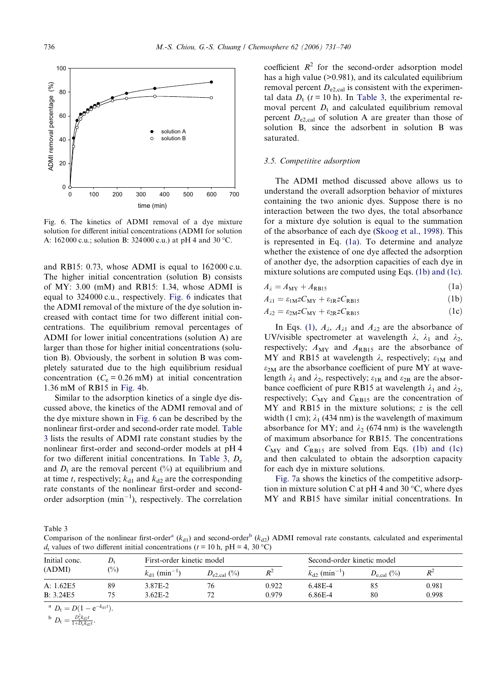

Fig. 6. The kinetics of ADMI removal of a dye mixture solution for different initial concentrations (ADMI for solution A: 162000 c.u.; solution B: 324000 c.u.) at pH 4 and 30 °C.

and RB15: 0.73, whose ADMI is equal to 162 000 c.u. The higher initial concentration (solution B) consists of MY: 3.00 (mM) and RB15: 1.34, whose ADMI is equal to 324 000 c.u., respectively. Fig. 6 indicates that the ADMI removal of the mixture of the dye solution increased with contact time for two different initial concentrations. The equilibrium removal percentages of ADMI for lower initial concentrations (solution A) are larger than those for higher initial concentrations (solution B). Obviously, the sorbent in solution B was completely saturated due to the high equilibrium residual concentration ( $C_e$  = 0.26 mM) at initial concentration 1.36 mM of RB15 in [Fig. 4b](#page-3-0).

Similar to the adsorption kinetics of a single dye discussed above, the kinetics of the ADMI removal and of the dye mixture shown in Fig. 6 can be described by the nonlinear first-order and second-order rate model. Table 3 lists the results of ADMI rate constant studies by the nonlinear first-order and second-order models at pH 4 for two different initial concentrations. In Table 3,  $D_e$ and  $D_t$  are the removal percent (%) at equilibrium and at time t, respectively;  $k_{d1}$  and  $k_{d2}$  are the corresponding rate constants of the nonlinear first-order and secondorder adsorption  $(min^{-1})$ , respectively. The correlation

coefficient  $R^2$  for the second-order adsorption model has a high value (>0.981), and its calculated equilibrium removal percent  $D_{e2,cal}$  is consistent with the experimental data  $D_t$  ( $t = 10$  h). In Table 3, the experimental removal percent  $D_t$  and calculated equilibrium removal percent  $D_{e2,cal}$  of solution A are greater than those of solution B, since the adsorbent in solution B was saturated.

# 3.5. Competitive adsorption

The ADMI method discussed above allows us to understand the overall adsorption behavior of mixtures containing the two anionic dyes. Suppose there is no interaction between the two dyes, the total absorbance for a mixture dye solution is equal to the summation of the absorbance of each dye ([Skoog et al., 1998\)](#page-9-0). This is represented in Eq. (1a). To determine and analyze whether the existence of one dye affected the adsorption of another dye, the adsorption capacities of each dye in mixture solutions are computed using Eqs. (1b) and (1c).

$$
A_{\lambda} = A_{\text{MY}} + A_{\text{RB15}} \tag{1a}
$$

$$
A_{\lambda 1} = \varepsilon_{1M} z C_{MY} + \varepsilon_{1R} z C_{RB15}
$$
 (1b)

 $A_{22} = \varepsilon_{2M}zC_{\text{MY}} + \varepsilon_{2R}zC_{\text{RB15}}$  (1c)

In Eqs. (1),  $A_{\lambda}$ ,  $A_{\lambda 1}$  and  $A_{\lambda 2}$  are the absorbance of UV/visible spectrometer at wavelength  $\lambda$ ,  $\lambda_1$  and  $\lambda_2$ , respectively;  $A_{MY}$  and  $A_{RB15}$  are the absorbance of MY and RB15 at wavelength  $\lambda$ , respectively;  $\varepsilon_{1M}$  and  $\varepsilon_{2M}$  are the absorbance coefficient of pure MY at wavelength  $\lambda_1$  and  $\lambda_2$ , respectively;  $\varepsilon_{1R}$  and  $\varepsilon_{2R}$  are the absorbance coefficient of pure RB15 at wavelength  $\lambda_1$  and  $\lambda_2$ , respectively;  $C_{MY}$  and  $C_{RB15}$  are the concentration of MY and RB15 in the mixture solutions; z is the cell width (1 cm);  $\lambda_1$  (434 nm) is the wavelength of maximum absorbance for MY; and  $\lambda_2$  (674 nm) is the wavelength of maximum absorbance for RB15. The concentrations  $C_{\text{MY}}$  and  $C_{\text{RB15}}$  are solved from Eqs. (1b) and (1c) and then calculated to obtain the adsorption capacity for each dye in mixture solutions.

[Fig. 7a](#page-6-0) shows the kinetics of the competitive adsorption in mixture solution C at pH 4 and 30  $\degree$ C, where dyes MY and RB15 have similar initial concentrations. In

Table 3

Comparison of the nonlinear first-order<sup>a</sup> ( $k_{d1}$ ) and second-order<sup>b</sup> ( $k_{d2}$ ) ADMI removal rate constants, calculated and experimental  $d_t$  values of two different initial concentrations ( $t = 10$  h, pH = 4, 30 °C)

| Initial conc. | $D_{t}$ | First-order kinetic model     |                  |       | Second-order kinetic model    |                        |       |
|---------------|---------|-------------------------------|------------------|-------|-------------------------------|------------------------|-------|
| (ADMI)        | $(\%)$  | $k_{d1}$ (min <sup>-1</sup> ) | $D_{e2,cal}$ (%) | $R^2$ | $k_{d2}$ (min <sup>-1</sup> ) | $D_{\text{e,cal}}(\%)$ | $R^2$ |
| A: 1.62E5     | 89      | 3.87E-2                       | 76               | 0.922 | 6.48E-4                       |                        | 0.981 |
| B: 3.24E5     |         | $3.62E - 2$                   |                  | 0.979 | 6.86E-4                       | 80                     | 0.998 |

<sup>a</sup>  $D_t = D(1 - e^{-k_{d1}t}).$ 

$$
^{b} D_{t} = \frac{D_{c}^{2}k_{d2}t}{1 + D_{c}k_{d2}t}.
$$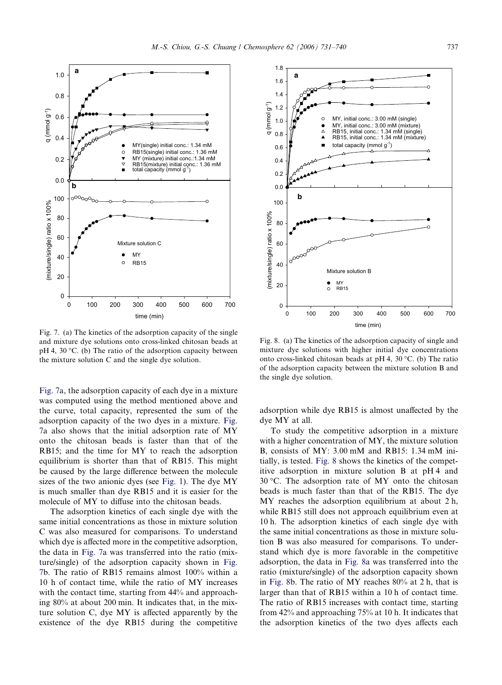

<span id="page-6-0"></span>

Fig. 7. (a) The kinetics of the adsorption capacity of the single and mixture dye solutions onto cross-linked chitosan beads at  $pH$  4, 30 °C. (b) The ratio of the adsorption capacity between the mixture solution C and the single dye solution.

Fig. 7a, the adsorption capacity of each dye in a mixture was computed using the method mentioned above and the curve, total capacity, represented the sum of the adsorption capacity of the two dyes in a mixture. Fig. 7a also shows that the initial adsorption rate of MY onto the chitosan beads is faster than that of the RB15; and the time for MY to reach the adsorption equilibrium is shorter than that of RB15. This might be caused by the large difference between the molecule sizes of the two anionic dyes (see [Fig. 1\)](#page-1-0). The dye MY is much smaller than dye RB15 and it is easier for the molecule of MY to diffuse into the chitosan beads.

The adsorption kinetics of each single dye with the same initial concentrations as those in mixture solution C was also measured for comparisons. To understand which dye is affected more in the competitive adsorption, the data in Fig. 7a was transferred into the ratio (mixture/single) of the adsorption capacity shown in Fig. 7b. The ratio of RB15 remains almost 100% within a 10 h of contact time, while the ratio of MY increases with the contact time, starting from  $44\%$  and approaching 80% at about 200 min. It indicates that, in the mixture solution C, dye MY is affected apparently by the existence of the dye RB15 during the competitive



Fig. 8. (a) The kinetics of the adsorption capacity of single and mixture dye solutions with higher initial dye concentrations onto cross-linked chitosan beads at pH 4, 30 °C. (b) The ratio of the adsorption capacity between the mixture solution B and the single dye solution.

adsorption while dye RB15 is almost unaffected by the dye MY at all.

To study the competitive adsorption in a mixture with a higher concentration of MY, the mixture solution B, consists of MY: 3.00 mM and RB15: 1.34 mM initially, is tested. Fig. 8 shows the kinetics of the competitive adsorption in mixture solution B at pH 4 and  $30^{\circ}$ C. The adsorption rate of MY onto the chitosan beads is much faster than that of the RB15. The dye MY reaches the adsorption equilibrium at about 2 h, while RB15 still does not approach equilibrium even at 10 h. The adsorption kinetics of each single dye with the same initial concentrations as those in mixture solution B was also measured for comparisons. To understand which dye is more favorable in the competitive adsorption, the data in Fig. 8a was transferred into the ratio (mixture/single) of the adsorption capacity shown in Fig. 8b. The ratio of MY reaches 80% at 2 h, that is larger than that of RB15 within a 10 h of contact time. The ratio of RB15 increases with contact time, starting from 42% and approaching 75% at 10 h. It indicates that the adsorption kinetics of the two dyes affects each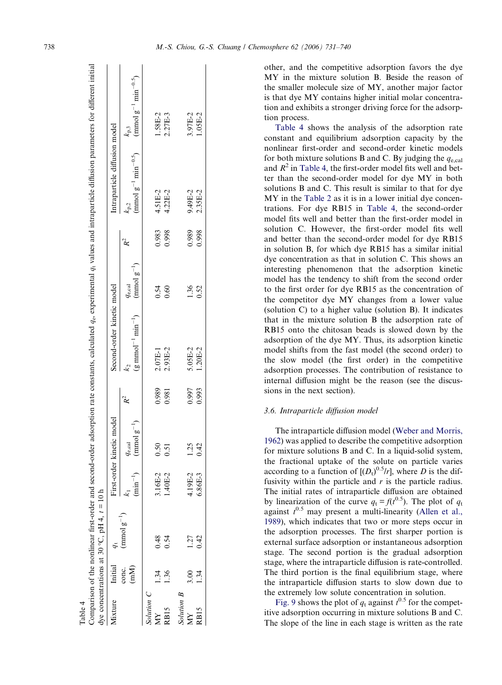<span id="page-7-0"></span>

| Mixture          | Initial        |                         |                     | First-order kinetic model                   |                | Second-order kinetic model               |                                             |                | Intraparticle diffusion model                      |                                                   |
|------------------|----------------|-------------------------|---------------------|---------------------------------------------|----------------|------------------------------------------|---------------------------------------------|----------------|----------------------------------------------------|---------------------------------------------------|
|                  | (mM)<br>conc.  | $(\text{mmol } g^{-1})$ | $\mbox{(\min}^{-1}$ | $(\text{mmol } g^{-1})$<br>$q_{\rm e, cal}$ |                | $(g \text{ mmol}^{-1} \text{ min}^{-1})$ | $(\text{mmod } g^{-1})$<br>$y_{\rm e, cal}$ |                | $\frac{1}{2}$ (mmol $g^{-1}$ min <sup>-0.5</sup> ) | $\text{ (mmol g}^{-1} \text{min}^{-0.5})$<br>kp.3 |
| Solution C       |                |                         |                     |                                             |                |                                          |                                             |                |                                                    |                                                   |
| Š                |                | 0.48                    | 3.16E-2             | 0.50                                        |                |                                          | 0.54                                        |                | 4.51E-2                                            |                                                   |
| RB <sub>15</sub> | $\frac{36}{5}$ | 0.54                    | .40E-2              | 0.51                                        | 0.989<br>0.981 | 2.07E-1<br>2.93E-2                       |                                             | 0.983<br>0.998 | $4.22E - 2$                                        | 1.58E-2<br>2.27E-3                                |
| Solution B       |                |                         |                     |                                             |                |                                          |                                             |                |                                                    |                                                   |
| ΧŅ               | 3.00           | 1.27                    | 4.19E-2             | 1.25                                        | 0.993          | 5.05E-2<br>1.20E-2                       | 1.36                                        | 0.989          | 9.49E-2                                            | 3.97E-2<br>1.05E-2                                |
| RB <sub>15</sub> | 1.34           | 0.42                    | 6.86E-3             | 0.42                                        |                |                                          | 0.52                                        | 0.998          | 2.35E-2                                            |                                                   |

Table 4

other, and the competitive adsorption favors the dye MY in the mixture solution B. Beside the reason of the smaller molecule size of MY, another major factor is that dye MY contains higher initial molar concentration and exhibits a stronger driving force for the adsorption process.

Table 4 shows the analysis of the adsorption rate constant and equilibrium adsorption capacity by the nonlinear first-order and second-order kinetic models for both mixture solutions B and C. By judging the  $q_{e,cal}$ and  $R^2$  in Table 4, the first-order model fits well and better than the second-order model for dye MY in both solutions B and C. This result is similar to that for dye MY in the [Table 2](#page-4-0) as it is in a lower initial dye concentrations. For dye RB15 in Table 4, the second-order model fits well and better than the first-order model in solution C. However, the first-order model fits well and better than the second-order model for dye RB15 in solution B, for which dye RB15 has a similar initial dye concentration as that in solution C. This shows an interesting phenomenon that the adsorption kinetic model has the tendency to shift from the second order to the first order for dye RB15 as the concentration of the competitor dye MY changes from a lower value (solution C) to a higher value (solution B). It indicates that in the mixture solution B the adsorption rate of RB15 onto the chitosan beads is slowed down by the adsorption of the dye MY. Thus, its adsorption kinetic model shifts from the fast model (the second order) to the slow model (the first order) in the competitive adsorption processes. The contribution of resistance to internal diffusion might be the reason (see the discussions in the next section).

#### 3.6. Intraparticle diffusion model

The intraparticle diffusion model ([Weber and Morris,](#page-9-0) [1962](#page-9-0)) was applied to describe the competitive adsorption for mixture solutions B and C. In a liquid-solid system, the fractional uptake of the solute on particle varies according to a function of  $[(D_t)^{0.5}/r]$ , where D is the diffusivity within the particle and  $r$  is the particle radius. The initial rates of intraparticle diffusion are obtained by linearization of the curve  $q_t = f(t^{0.5})$ . The plot of  $q_t$ against  $t^{0.5}$  may present a multi-linearity ([Allen et al.,](#page-8-0) [1989](#page-8-0)), which indicates that two or more steps occur in the adsorption processes. The first sharper portion is external surface adsorption or instantaneous adsorption stage. The second portion is the gradual adsorption stage, where the intraparticle diffusion is rate-controlled. The third portion is the final equilibrium stage, where the intraparticle diffusion starts to slow down due to the extremely low solute concentration in solution.

[Fig. 9](#page-8-0) shows the plot of  $q_t$  against  $t^{0.5}$  for the competitive adsorption occurring in mixture solutions B and C. The slope of the line in each stage is written as the rate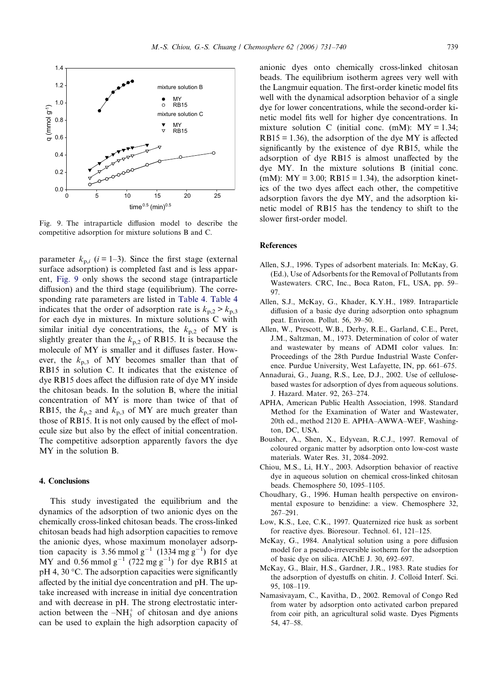<span id="page-8-0"></span>

Fig. 9. The intraparticle diffusion model to describe the competitive adsorption for mixture solutions B and C.

parameter  $k_{p,i}$  ( $i = 1-3$ ). Since the first stage (external surface adsorption) is completed fast and is less apparent, Fig. 9 only shows the second stage (intraparticle diffusion) and the third stage (equilibrium). The corresponding rate parameters are listed in [Table 4.](#page-7-0) [Table 4](#page-7-0) indicates that the order of adsorption rate is  $k_{p,2} > k_{p,3}$ for each dye in mixtures. In mixture solutions C with similar initial dye concentrations, the  $k_{p,2}$  of MY is slightly greater than the  $k_{p,2}$  of RB15. It is because the molecule of MY is smaller and it diffuses faster. However, the  $k_{p,3}$  of MY becomes smaller than that of RB15 in solution C. It indicates that the existence of dye RB15 does affect the diffusion rate of dye MY inside the chitosan beads. In the solution B, where the initial concentration of MY is more than twice of that of RB15, the  $k_{p,2}$  and  $k_{p,3}$  of MY are much greater than those of RB15. It is not only caused by the effect of molecule size but also by the effect of initial concentration. The competitive adsorption apparently favors the dye MY in the solution B.

## 4. Conclusions

This study investigated the equilibrium and the dynamics of the adsorption of two anionic dyes on the chemically cross-linked chitosan beads. The cross-linked chitosan beads had high adsorption capacities to remove the anionic dyes, whose maximum monolayer adsorption capacity is 3.56 mmol  $g^{-1}$  (1334 mg  $g^{-1}$ ) for dye MY and 0.56 mmol  $g^{-1}$  (722 mg  $g^{-1}$ ) for dye RB15 at pH 4, 30  $^{\circ}$ C. The adsorption capacities were significantly affected by the initial dye concentration and pH. The uptake increased with increase in initial dye concentration and with decrease in pH. The strong electrostatic interaction between the  $-NH_3^+$  of chitosan and dye anions can be used to explain the high adsorption capacity of

anionic dyes onto chemically cross-linked chitosan beads. The equilibrium isotherm agrees very well with the Langmuir equation. The first-order kinetic model fits well with the dynamical adsorption behavior of a single dye for lower concentrations, while the second-order kinetic model fits well for higher dye concentrations. In mixture solution C (initial conc.  $(mM)$ :  $MY = 1.34$ ;  $RB15 = 1.36$ , the adsorption of the dye MY is affected significantly by the existence of dye RB15, while the adsorption of dye RB15 is almost unaffected by the dye MY. In the mixture solutions B (initial conc. (mM):  $MY = 3.00$ ; RB15 = 1.34), the adsorption kinetics of the two dyes affect each other, the competitive adsorption favors the dye MY, and the adsorption kinetic model of RB15 has the tendency to shift to the slower first-order model.

## References

- Allen, S.J., 1996. Types of adsorbent materials. In: McKay, G. (Ed.), Use of Adsorbents for the Removal of Pollutants from Wastewaters. CRC, Inc., Boca Raton, FL, USA, pp. 59– 97.
- Allen, S.J., McKay, G., Khader, K.Y.H., 1989. Intraparticle diffusion of a basic dye during adsorption onto sphagnum peat. Environ. Pollut. 56, 39–50.
- Allen, W., Prescott, W.B., Derby, R.E., Garland, C.E., Peret, J.M., Saltzman, M., 1973. Determination of color of water and wastewater by means of ADMI color values. In: Proceedings of the 28th Purdue Industrial Waste Conference. Purdue University, West Lafayette, IN, pp. 661–675.
- Annadurai, G., Juang, R.S., Lee, D.J., 2002. Use of cellulosebased wastes for adsorption of dyes from aqueous solutions. J. Hazard. Mater. 92, 263–274.
- APHA, American Public Health Association, 1998. Standard Method for the Examination of Water and Wastewater, 20th ed., method 2120 E. APHA–AWWA–WEF, Washington, DC, USA.
- Bousher, A., Shen, X., Edyvean, R.C.J., 1997. Removal of coloured organic matter by adsorption onto low-cost waste materials. Water Res. 31, 2084–2092.
- Chiou, M.S., Li, H.Y., 2003. Adsorption behavior of reactive dye in aqueous solution on chemical cross-linked chitosan beads. Chemosphere 50, 1095–1105.
- Choudhary, G., 1996. Human health perspective on environmental exposure to benzidine: a view. Chemosphere 32, 267–291.
- Low, K.S., Lee, C.K., 1997. Quaternized rice husk as sorbent for reactive dyes. Bioresour. Technol. 61, 121–125.
- McKay, G., 1984. Analytical solution using a pore diffusion model for a pseudo-irreversible isotherm for the adsorption of basic dye on silica. AIChE J. 30, 692–697.
- McKay, G., Blair, H.S., Gardner, J.R., 1983. Rate studies for the adsorption of dyestuffs on chitin. J. Colloid Interf. Sci. 95, 108–119.
- Namasivayam, C., Kavitha, D., 2002. Removal of Congo Red from water by adsorption onto activated carbon prepared from coir pith, an agricultural solid waste. Dyes Pigments 54, 47–58.